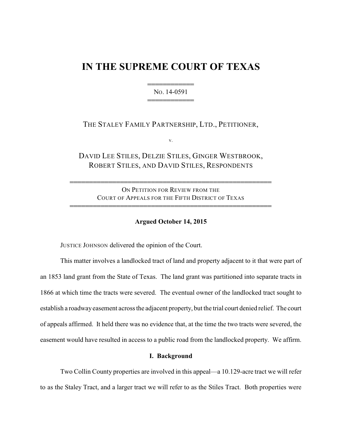# **IN THE SUPREME COURT OF TEXAS**

444444444444 NO. 14-0591 444444444444

THE STALEY FAMILY PARTNERSHIP, LTD., PETITIONER,

v.

DAVID LEE STILES, DELZIE STILES, GINGER WESTBROOK, ROBERT STILES, AND DAVID STILES, RESPONDENTS

ON PETITION FOR REVIEW FROM THE COURT OF APPEALS FOR THE FIFTH DISTRICT OF TEXAS

4444444444444444444444444444444444444444444444444444

4444444444444444444444444444444444444444444444444444

#### **Argued October 14, 2015**

JUSTICE JOHNSON delivered the opinion of the Court.

This matter involves a landlocked tract of land and property adjacent to it that were part of an 1853 land grant from the State of Texas. The land grant was partitioned into separate tracts in 1866 at which time the tracts were severed. The eventual owner of the landlocked tract sought to establish a roadway easement across the adjacent property, but the trial court denied relief. The court of appeals affirmed. It held there was no evidence that, at the time the two tracts were severed, the easement would have resulted in access to a public road from the landlocked property. We affirm.

#### **I. Background**

Two Collin County properties are involved in this appeal—a 10.129-acre tract we will refer to as the Staley Tract, and a larger tract we will refer to as the Stiles Tract. Both properties were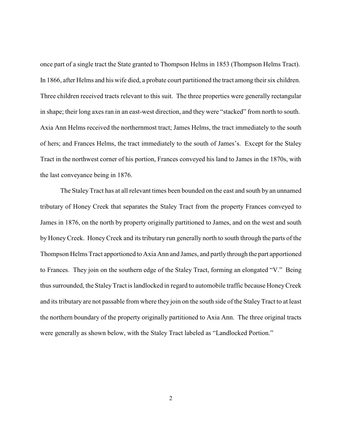once part of a single tract the State granted to Thompson Helms in 1853 (Thompson Helms Tract). In 1866, after Helms and his wife died, a probate court partitioned the tract among their six children. Three children received tracts relevant to this suit. The three properties were generally rectangular in shape; their long axes ran in an east-west direction, and they were "stacked" from north to south. Axia Ann Helms received the northernmost tract; James Helms, the tract immediately to the south of hers; and Frances Helms, the tract immediately to the south of James's. Except for the Staley Tract in the northwest corner of his portion, Frances conveyed his land to James in the 1870s, with the last conveyance being in 1876.

The StaleyTract has at all relevant times been bounded on the east and south by an unnamed tributary of Honey Creek that separates the Staley Tract from the property Frances conveyed to James in 1876, on the north by property originally partitioned to James, and on the west and south by HoneyCreek. HoneyCreek and its tributary run generally north to south through the parts of the Thompson Helms Tract apportioned to Axia Ann and James, and partly through the part apportioned to Frances. They join on the southern edge of the Staley Tract, forming an elongated "V." Being thus surrounded, the StaleyTract is landlocked in regard to automobile traffic because HoneyCreek and its tributary are not passable from where they join on the south side of the StaleyTract to at least the northern boundary of the property originally partitioned to Axia Ann. The three original tracts were generally as shown below, with the Staley Tract labeled as "Landlocked Portion."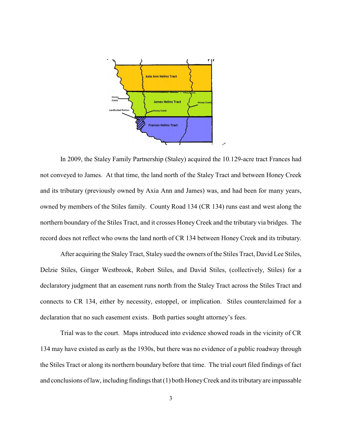

In 2009, the Staley Family Partnership (Staley) acquired the 10.129-acre tract Frances had not conveyed to James. At that time, the land north of the Staley Tract and between Honey Creek and its tributary (previously owned by Axia Ann and James) was, and had been for many years, owned by members of the Stiles family. County Road 134 (CR 134) runs east and west along the northern boundary of the Stiles Tract, and it crosses HoneyCreek and the tributary via bridges. The record does not reflect who owns the land north of CR 134 between Honey Creek and its tributary.

After acquiring the Staley Tract, Staley sued the owners of the Stiles Tract, David Lee Stiles, Delzie Stiles, Ginger Westbrook, Robert Stiles, and David Stiles, (collectively, Stiles) for a declaratory judgment that an easement runs north from the Staley Tract across the Stiles Tract and connects to CR 134, either by necessity, estoppel, or implication. Stiles counterclaimed for a declaration that no such easement exists. Both parties sought attorney's fees.

Trial was to the court. Maps introduced into evidence showed roads in the vicinity of CR 134 may have existed as early as the 1930s, but there was no evidence of a public roadway through the Stiles Tract or along its northern boundary before that time. The trial court filed findings of fact and conclusions of law, including findings that (1) both HoneyCreek and its tributary are impassable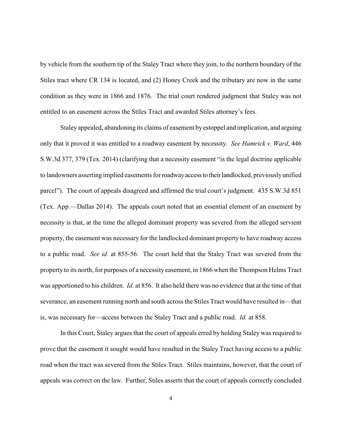by vehicle from the southern tip of the Staley Tract where they join, to the northern boundary of the Stiles tract where CR 134 is located, and (2) Honey Creek and the tributary are now in the same condition as they were in 1866 and 1876. The trial court rendered judgment that Staley was not entitled to an easement across the Stiles Tract and awarded Stiles attorney's fees.

Staley appealed, abandoning its claims of easement by estoppel and implication, and arguing only that it proved it was entitled to a roadway easement by necessity. *See Hamrick v. Ward*, 446 S.W.3d 377, 379 (Tex. 2014) (clarifying that a necessity easement "is the legal doctrine applicable to landowners asserting implied easements for roadwayaccessto theirlandlocked, previouslyunified parcel"). The court of appeals disagreed and affirmed the trial court's judgment. 435 S.W.3d 851 (Tex. App.—Dallas 2014). The appeals court noted that an essential element of an easement by necessity is that, at the time the alleged dominant property was severed from the alleged servient property, the easement was necessary for the landlocked dominant property to have roadway access to a public road. *See id.* at 855-56. The court held that the Staley Tract was severed from the property to its north, for purposes of a necessity easement, in 1866 when the Thompson Helms Tract was apportioned to his children. *Id.* at 856. It also held there was no evidence that at the time of that severance, an easement running north and south across the Stiles Tract would have resulted in—that is, was necessary for—access between the Staley Tract and a public road. *Id.* at 858.

In this Court, Staley argues that the court of appeals erred by holding Staley was required to prove that the easement it sought would have resulted in the Staley Tract having access to a public road when the tract was severed from the Stiles Tract. Stiles maintains, however, that the court of appeals was correct on the law. Further, Stiles asserts that the court of appeals correctly concluded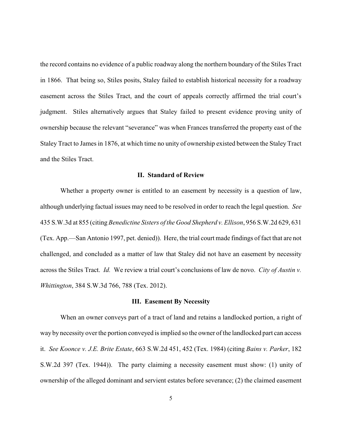the record contains no evidence of a public roadway along the northern boundary of the Stiles Tract in 1866. That being so, Stiles posits, Staley failed to establish historical necessity for a roadway easement across the Stiles Tract, and the court of appeals correctly affirmed the trial court's judgment. Stiles alternatively argues that Staley failed to present evidence proving unity of ownership because the relevant "severance" was when Frances transferred the property east of the Staley Tract to James in 1876, at which time no unity of ownership existed between the Staley Tract and the Stiles Tract.

#### **II. Standard of Review**

Whether a property owner is entitled to an easement by necessity is a question of law, although underlying factual issues may need to be resolved in order to reach the legal question. *See* 435 S.W.3d at 855 (citing *Benedictine Sisters of the Good Shepherd v. Ellison*, 956 S.W.2d 629, 631 (Tex. App.—San Antonio 1997, pet. denied)). Here, the trial court made findings of fact that are not challenged, and concluded as a matter of law that Staley did not have an easement by necessity across the Stiles Tract. *Id.* We review a trial court's conclusions of law de novo. *City of Austin v. Whittington*, 384 S.W.3d 766, 788 (Tex. 2012).

#### **III. Easement By Necessity**

When an owner conveys part of a tract of land and retains a landlocked portion, a right of way by necessity over the portion conveyed is implied so the owner of the landlocked part can access it. *See Koonce v. J.E. Brite Estate*, 663 S.W.2d 451, 452 (Tex. 1984) (citing *Bains v. Parker*, 182 S.W.2d 397 (Tex. 1944)). The party claiming a necessity easement must show: (1) unity of ownership of the alleged dominant and servient estates before severance; (2) the claimed easement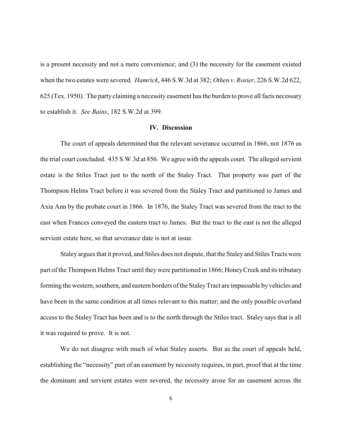is a present necessity and not a mere convenience; and (3) the necessity for the easement existed when the two estates were severed. *Hamrick*, 446 S.W.3d at 382; *Othen v. Rosier*, 226 S.W.2d 622, 625 (Tex. 1950). The party claiming a necessity easement has the burden to prove all facts necessary to establish it. *See Bains*, 182 S.W.2d at 399.

#### **IV. Discussion**

The court of appeals determined that the relevant severance occurred in 1866, not 1876 as the trial court concluded. 435 S.W.3d at 856. We agree with the appeals court. The alleged servient estate is the Stiles Tract just to the north of the Staley Tract. That property was part of the Thompson Helms Tract before it was severed from the Staley Tract and partitioned to James and Axia Ann by the probate court in 1866. In 1876, the Staley Tract was severed from the tract to the east when Frances conveyed the eastern tract to James. But the tract to the east is not the alleged servient estate here, so that severance date is not at issue.

Staley argues that it proved, and Stiles does not dispute, that the Staleyand Stiles Tracts were part of the Thompson Helms Tract until theywere partitioned in 1866; HoneyCreek and its tributary forming the western, southern, and eastern borders of the StaleyTract are impassable byvehicles and have been in the same condition at all times relevant to this matter; and the only possible overland access to the Staley Tract has been and is to the north through the Stiles tract. Staley says that is all it was required to prove. It is not.

We do not disagree with much of what Staley asserts. But as the court of appeals held, establishing the "necessity" part of an easement by necessity requires, in part, proof that at the time the dominant and servient estates were severed, the necessity arose for an easement across the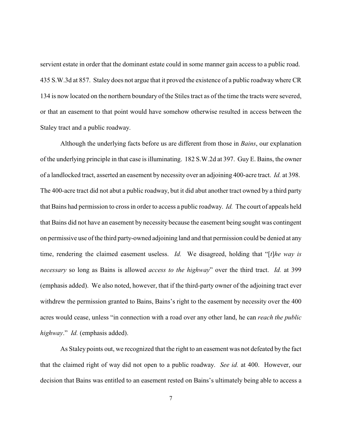servient estate in order that the dominant estate could in some manner gain access to a public road. 435 S.W.3d at 857. Staley does not argue that it proved the existence of a public roadway where CR 134 is now located on the northern boundary of the Stiles tract as of the time the tracts were severed, or that an easement to that point would have somehow otherwise resulted in access between the Staley tract and a public roadway.

Although the underlying facts before us are different from those in *Bains*, our explanation of the underlying principle in that case is illuminating. 182 S.W.2d at 397. Guy E. Bains, the owner of a landlocked tract, asserted an easement by necessity over an adjoining 400-acre tract. *Id.* at 398. The 400-acre tract did not abut a public roadway, but it did abut another tract owned by a third party that Bains had permission to cross in orderto access a public roadway. *Id.* The court of appeals held that Bains did not have an easement by necessity because the easement being sought was contingent on permissive use of the third party-owned adjoining land and that permission could be denied at any time, rendering the claimed easement useless. *Id.* We disagreed, holding that "[*t*]*he way is necessary* so long as Bains is allowed *access to the highway*" over the third tract. *Id.* at 399 (emphasis added). We also noted, however, that if the third-party owner of the adjoining tract ever withdrew the permission granted to Bains, Bains's right to the easement by necessity over the 400 acres would cease, unless "in connection with a road over any other land, he can *reach the public highway*." *Id.* (emphasis added).

As Staley points out, we recognized that the right to an easement was not defeated by the fact that the claimed right of way did not open to a public roadway. *See id.* at 400. However, our decision that Bains was entitled to an easement rested on Bains's ultimately being able to access a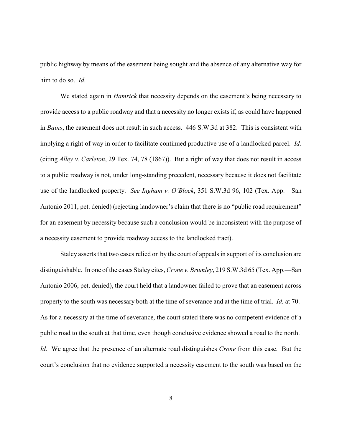public highway by means of the easement being sought and the absence of any alternative way for him to do so. *Id.*

We stated again in *Hamrick* that necessity depends on the easement's being necessary to provide access to a public roadway and that a necessity no longer exists if, as could have happened in *Bains*, the easement does not result in such access. 446 S.W.3d at 382. This is consistent with implying a right of way in order to facilitate continued productive use of a landlocked parcel. *Id.* (citing *Alley v. Carleton*, 29 Tex. 74, 78 (1867)). But a right of way that does not result in access to a public roadway is not, under long-standing precedent, necessary because it does not facilitate use of the landlocked property. *See Ingham v. O'Block*, 351 S.W.3d 96, 102 (Tex. App.—San Antonio 2011, pet. denied) (rejecting landowner's claim that there is no "public road requirement" for an easement by necessity because such a conclusion would be inconsistent with the purpose of a necessity easement to provide roadway access to the landlocked tract).

Staley asserts that two cases relied on by the court of appeals in support of its conclusion are distinguishable. In one of the cases Staley cites, *Crone v. Brumley*, 219 S.W.3d 65 (Tex. App.—San Antonio 2006, pet. denied), the court held that a landowner failed to prove that an easement across property to the south was necessary both at the time of severance and at the time of trial. *Id.* at 70. As for a necessity at the time of severance, the court stated there was no competent evidence of a public road to the south at that time, even though conclusive evidence showed a road to the north. *Id.* We agree that the presence of an alternate road distinguishes *Crone* from this case. But the court's conclusion that no evidence supported a necessity easement to the south was based on the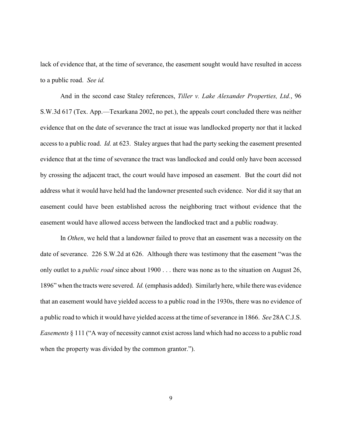lack of evidence that, at the time of severance, the easement sought would have resulted in access to a public road. *See id.*

And in the second case Staley references, *Tiller v. Lake Alexander Properties, Ltd.*, 96 S.W.3d 617 (Tex. App.—Texarkana 2002, no pet.), the appeals court concluded there was neither evidence that on the date of severance the tract at issue was landlocked property nor that it lacked access to a public road. *Id.* at 623. Staley argues that had the party seeking the easement presented evidence that at the time of severance the tract was landlocked and could only have been accessed by crossing the adjacent tract, the court would have imposed an easement. But the court did not address what it would have held had the landowner presented such evidence. Nor did it say that an easement could have been established across the neighboring tract without evidence that the easement would have allowed access between the landlocked tract and a public roadway.

In *Othen*, we held that a landowner failed to prove that an easement was a necessity on the date of severance. 226 S.W.2d at 626. Although there was testimony that the easement "was the only outlet to a *public road* since about 1900 . . . there was none as to the situation on August 26, 1896" when the tracts were severed. *Id.* (emphasis added). Similarly here, while there was evidence that an easement would have yielded access to a public road in the 1930s, there was no evidence of a public road to which it would have yielded access at the time of severance in 1866. *See* 28A C.J.S. *Easements* § 111 ("A way of necessity cannot exist across land which had no access to a public road when the property was divided by the common grantor.").